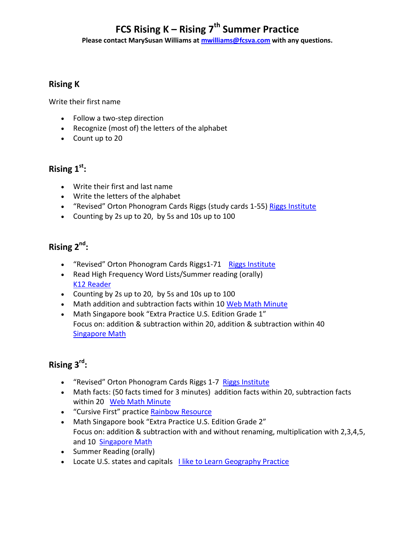# **FCS Rising K – Rising 7th Summer Practice**

**Please contact MarySusan Williams at [mwilliams@fcsva.com](mailto:mwilliams@fcsva.com) with any questions.**

### **Rising K**

Write their first name

- Follow a two-step direction
- Recognize (most of) the letters of the alphabet
- Count up to 20

## **Rising 1st :**

- Write their first and last name
- Write the letters of the alphabet
- . "Revised" Orton Phonogram Cards Riggs (study cards 1-55) [Riggs Institute](https://www.riggsinst.org/online-catalog/)
- Counting by 2s up to 20, by 5s and 10s up to 100

## **Rising 2nd :**

- "Revised" Orton Phonogram Cards Riggs1-71 Riggs Institute
- Read High Frequency Word Lists/Summer reading (orally) [K12 Reader](https://www.k12reader.com/worksheet/fry-words-2nd-hundred-2/view/)
- Counting by 2s up to 20, by 5s and 10s up to 100
- Math addition and subtraction facts within 10 [Web Math Minute](https://webmathminute.com/)
- Math Singapore book "Extra Practice U.S. Edition Grade 1" Focus on: addition & subtraction within 20, addition & subtraction within 40 [Singapore Math](https://shop.singaporemath.com/index.php/product/extra-practice-for-pri-math-u-s-edition-1/)

## **Rising 3rd :**

- "Revised" Orton Phonogram Cards Riggs 1-7 [Riggs Institute](https://www.riggsinst.org/online-catalog/)
- Math facts: (50 facts timed for 3 minutes) addition facts within 20, subtraction facts within 20 [Web Math Minute](https://webmathminute.com/)
- "Cursive First" practice [Rainbow Resource](https://www.rainbowresource.com/category/9804/Cursive-First.html#category=HANDWRITING&mpp=24)
- Math Singapore book "Extra Practice U.S. Edition Grade 2" Focus on: addition & subtraction with and without renaming, multiplication with 2,3,4,5, and 10[Singapore Math](https://shop.singaporemath.com/index.php/product/extra-practice-for-pri-math-u-s-edition-2/)
- Summer Reading (orally)
- Locate U.S. states and capitals [I like to Learn Geography Practice](http://www.ilike2learn.com/)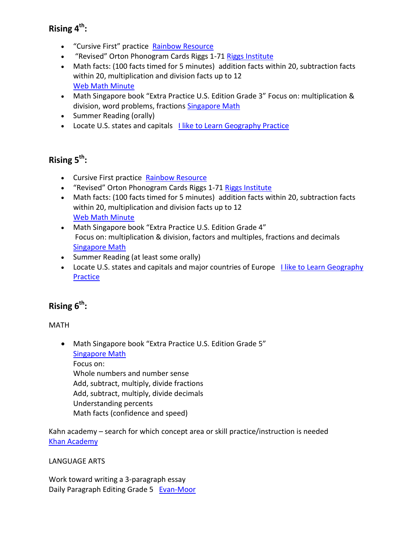## **Rising 4th :**

- "Cursive First" practice [Rainbow Resource](https://www.rainbowresource.com/category/9804/Cursive-First.html#category=HANDWRITING&mpp=24)
- . "Revised" Orton Phonogram Cards Riggs 1-71 [Riggs Institute](https://www.riggsinst.org/online-catalog/)
- Math facts: (100 facts timed for 5 minutes) addition facts within 20, subtraction facts within 20, multiplication and division facts up to 12 [Web Math Minute](https://webmathminute.com/)
- Math Singapore book "Extra Practice U.S. Edition Grade 3" Focus on: multiplication & division, word problems, fractions [Singapore Math](https://shop.singaporemath.com/index.php/product/extra-practice-for-pri-math-u-s-edition-3/)
- Summer Reading (orally)
- Locate U.S. states and capitals Ilike to Learn Geography Practice

## **Rising 5th :**

- Cursive First practice [Rainbow Resource](https://www.rainbowresource.com/category/9804/Cursive-First.html#category=HANDWRITING&mpp=24)
- "Revised" Orton Phonogram Cards Riggs 1-71 [Riggs Institute](https://www.riggsinst.org/online-catalog/)
- Math facts: (100 facts timed for 5 minutes) addition facts within 20, subtraction facts within 20, multiplication and division facts up to 12 [Web Math Minute](https://webmathminute.com/)
- Math Singapore book "Extra Practice U.S. Edition Grade 4" Focus on: multiplication & division, factors and multiples, fractions and decimals [Singapore Math](https://shop.singaporemath.com/index.php/product/extra-practice-for-pri-math-u-s-edition-4/)
- Summer Reading (at least some orally)
- Locate U.S. states and capitals and major countries of Europe Llike to Learn Geography **[Practice](http://www.ilike2learn.com/)**

## **Rising 6th :**

MATH

 Math Singapore book "Extra Practice U.S. Edition Grade 5" [Singapore Math](https://www.singaporemath.com/collections/primary-mathematics-u-s-edition/products/extra-practice-u-s-edition-grade-5?variant=40979864748221) Focus on: Whole numbers and number sense Add, subtract, multiply, divide fractions Add, subtract, multiply, divide decimals Understanding percents Math facts (confidence and speed)

Kahn academy – search for which concept area or skill practice/instruction is needed Khan [Academy](https://www.khanacademy.org/)

### LANGUAGE ARTS

Work toward writing a 3-paragraph essay Daily Paragraph Editing Grade 5 Evan-Moor